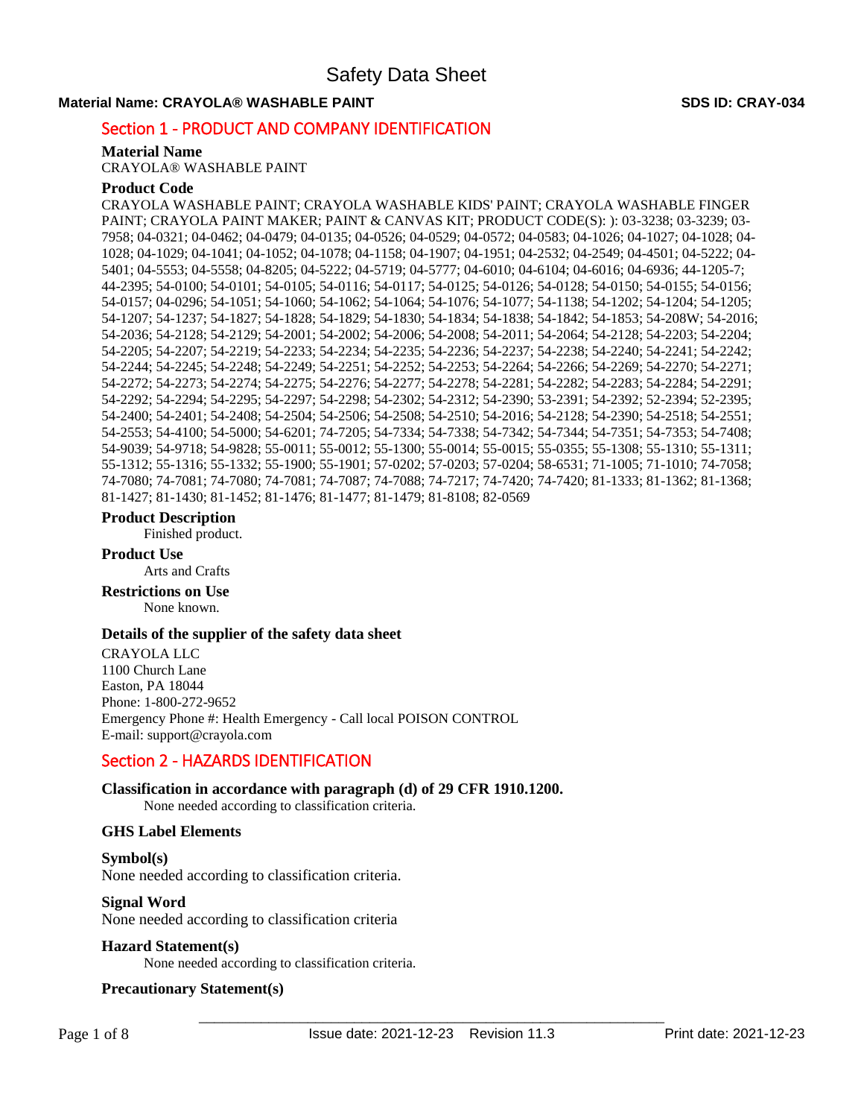### **Material Name: CRAYOLA® WASHABLE PAINT SDS ID: CRAY-034**

### Section 1 - PRODUCT AND COMPANY IDENTIFICATION

### **Material Name**

CRAYOLA® WASHABLE PAINT

### **Product Code**

CRAYOLA WASHABLE PAINT; CRAYOLA WASHABLE KIDS' PAINT; CRAYOLA WASHABLE FINGER PAINT; CRAYOLA PAINT MAKER; PAINT & CANVAS KIT; PRODUCT CODE(S): ): 03-3238; 03-3239; 03- 7958; 04-0321; 04-0462; 04-0479; 04-0135; 04-0526; 04-0529; 04-0572; 04-0583; 04-1026; 04-1027; 04-1028; 04- 1028; 04-1029; 04-1041; 04-1052; 04-1078; 04-1158; 04-1907; 04-1951; 04-2532; 04-2549; 04-4501; 04-5222; 04- 5401; 04-5553; 04-5558; 04-8205; 04-5222; 04-5719; 04-5777; 04-6010; 04-6104; 04-6016; 04-6936; 44-1205-7; 44-2395; 54-0100; 54-0101; 54-0105; 54-0116; 54-0117; 54-0125; 54-0126; 54-0128; 54-0150; 54-0155; 54-0156; 54-0157; 04-0296; 54-1051; 54-1060; 54-1062; 54-1064; 54-1076; 54-1077; 54-1138; 54-1202; 54-1204; 54-1205; 54-1207; 54-1237; 54-1827; 54-1828; 54-1829; 54-1830; 54-1834; 54-1838; 54-1842; 54-1853; 54-208W; 54-2016; 54-2036; 54-2128; 54-2129; 54-2001; 54-2002; 54-2006; 54-2008; 54-2011; 54-2064; 54-2128; 54-2203; 54-2204; 54-2205; 54-2207; 54-2219; 54-2233; 54-2234; 54-2235; 54-2236; 54-2237; 54-2238; 54-2240; 54-2241; 54-2242; 54-2244; 54-2245; 54-2248; 54-2249; 54-2251; 54-2252; 54-2253; 54-2264; 54-2266; 54-2269; 54-2270; 54-2271; 54-2272; 54-2273; 54-2274; 54-2275; 54-2276; 54-2277; 54-2278; 54-2281; 54-2282; 54-2283; 54-2284; 54-2291; 54-2292; 54-2294; 54-2295; 54-2297; 54-2298; 54-2302; 54-2312; 54-2390; 53-2391; 54-2392; 52-2394; 52-2395; 54-2400; 54-2401; 54-2408; 54-2504; 54-2506; 54-2508; 54-2510; 54-2016; 54-2128; 54-2390; 54-2518; 54-2551; 54-2553; 54-4100; 54-5000; 54-6201; 74-7205; 54-7334; 54-7338; 54-7342; 54-7344; 54-7351; 54-7353; 54-7408; 54-9039; 54-9718; 54-9828; 55-0011; 55-0012; 55-1300; 55-0014; 55-0015; 55-0355; 55-1308; 55-1310; 55-1311; 55-1312; 55-1316; 55-1332; 55-1900; 55-1901; 57-0202; 57-0203; 57-0204; 58-6531; 71-1005; 71-1010; 74-7058; 74-7080; 74-7081; 74-7080; 74-7081; 74-7087; 74-7088; 74-7217; 74-7420; 74-7420; 81-1333; 81-1362; 81-1368; 81-1427; 81-1430; 81-1452; 81-1476; 81-1477; 81-1479; 81-8108; 82-0569

### **Product Description**

Finished product.

**Product Use**

Arts and Crafts

**Restrictions on Use** None known.

### **Details of the supplier of the safety data sheet**

CRAYOLA LLC 1100 Church Lane Easton, PA 18044 Phone: 1-800-272-9652 Emergency Phone #: Health Emergency - Call local POISON CONTROL E-mail: support@crayola.com

### Section 2 - HAZARDS IDENTIFICATION

### **Classification in accordance with paragraph (d) of 29 CFR 1910.1200.**

None needed according to classification criteria.

### **GHS Label Elements**

**Symbol(s)**  None needed according to classification criteria.

### **Signal Word**

None needed according to classification criteria

### **Hazard Statement(s)**

None needed according to classification criteria.

### **Precautionary Statement(s)**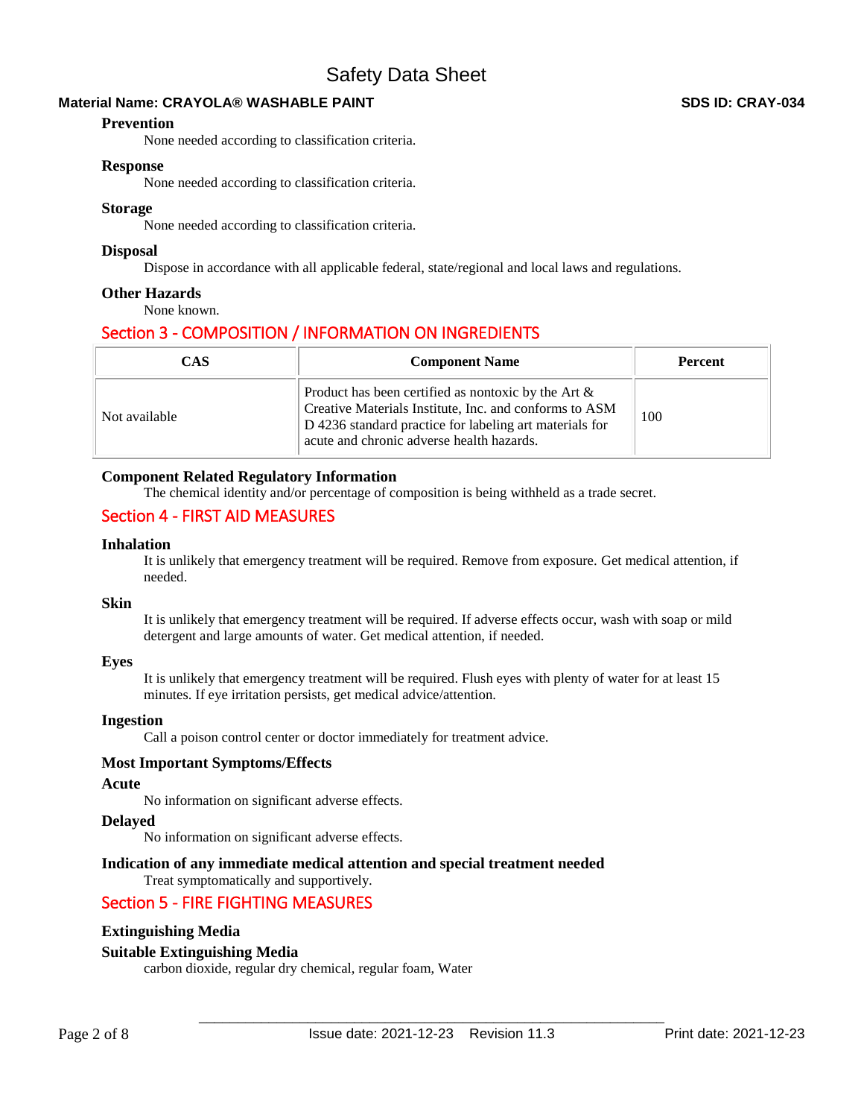### **Material Name: CRAYOLA® WASHABLE PAINT SDS ID: CRAY-034**

### **Prevention**

None needed according to classification criteria.

### **Response**

None needed according to classification criteria.

### **Storage**

None needed according to classification criteria.

### **Disposal**

Dispose in accordance with all applicable federal, state/regional and local laws and regulations.

### **Other Hazards**

None known.

### Section 3 - COMPOSITION / INFORMATION ON INGREDIENTS

| CAS.          | <b>Component Name</b>                                                                                                                                                                                                    | <b>Percent</b> |
|---------------|--------------------------------------------------------------------------------------------------------------------------------------------------------------------------------------------------------------------------|----------------|
| Not available | Product has been certified as nontoxic by the Art $\&$<br>Creative Materials Institute, Inc. and conforms to ASM<br>D 4236 standard practice for labeling art materials for<br>acute and chronic adverse health hazards. | 100            |

### **Component Related Regulatory Information**

The chemical identity and/or percentage of composition is being withheld as a trade secret.

### Section 4 - FIRST AID MEASURES

#### **Inhalation**

It is unlikely that emergency treatment will be required. Remove from exposure. Get medical attention, if needed.

#### **Skin**

It is unlikely that emergency treatment will be required. If adverse effects occur, wash with soap or mild detergent and large amounts of water. Get medical attention, if needed.

### **Eyes**

It is unlikely that emergency treatment will be required. Flush eyes with plenty of water for at least 15 minutes. If eye irritation persists, get medical advice/attention.

### **Ingestion**

Call a poison control center or doctor immediately for treatment advice.

### **Most Important Symptoms/Effects**

#### **Acute**

No information on significant adverse effects.

### **Delayed**

Page 2 of 8

No information on significant adverse effects.

Treat symptomatically and supportively.

### **Indication of any immediate medical attention and special treatment needed**

## Section 5 - FIRE FIGHTING MEASURES

### **Extinguishing Media**

### **Suitable Extinguishing Media**

carbon dioxide, regular dry chemical, regular foam, Water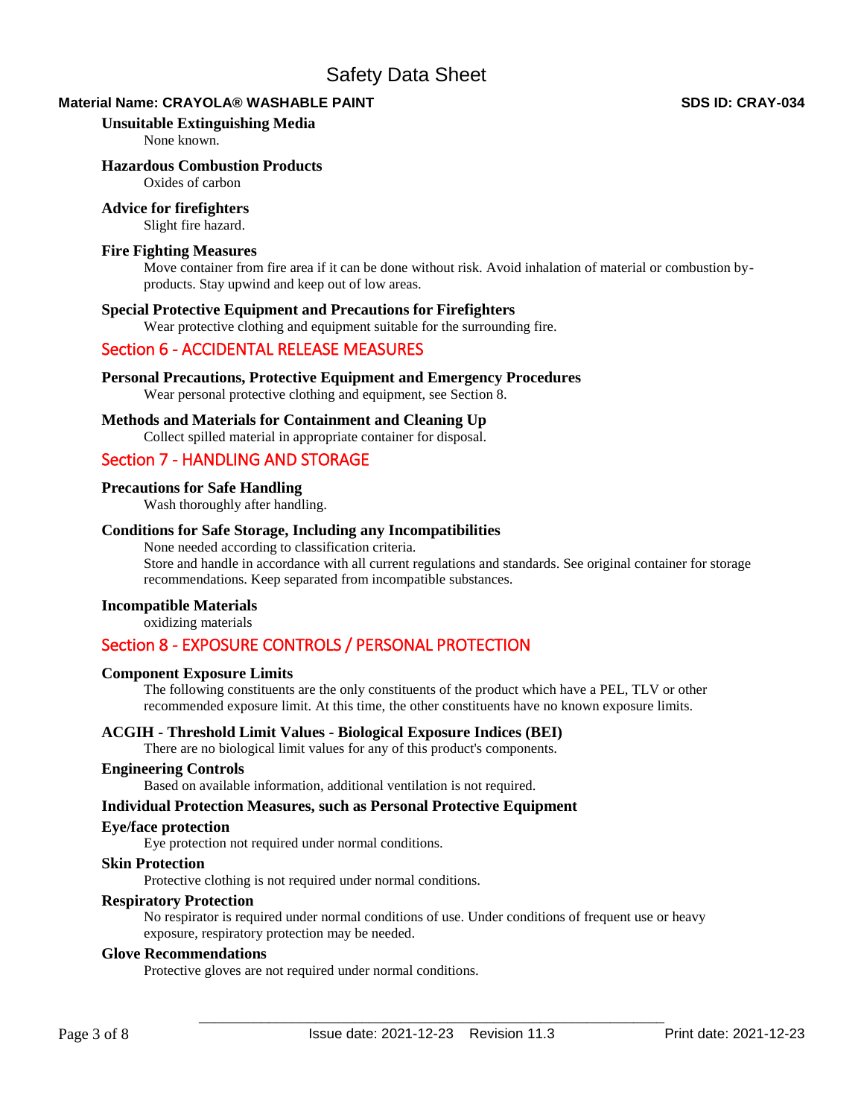### **Material Name: CRAYOLA® WASHABLE PAINT SDS ID: CRAY-034**

### **Unsuitable Extinguishing Media**

None known.

### **Hazardous Combustion Products**

Oxides of carbon

### **Advice for firefighters**

Slight fire hazard.

### **Fire Fighting Measures**

Move container from fire area if it can be done without risk. Avoid inhalation of material or combustion byproducts. Stay upwind and keep out of low areas.

### **Special Protective Equipment and Precautions for Firefighters**

Wear protective clothing and equipment suitable for the surrounding fire.

### Section 6 - ACCIDENTAL RELEASE MEASURES

### **Personal Precautions, Protective Equipment and Emergency Procedures**

Wear personal protective clothing and equipment, see Section 8.

### **Methods and Materials for Containment and Cleaning Up**

Collect spilled material in appropriate container for disposal.

### Section 7 - HANDLING AND STORAGE

### **Precautions for Safe Handling**

Wash thoroughly after handling.

### **Conditions for Safe Storage, Including any Incompatibilities**

None needed according to classification criteria. Store and handle in accordance with all current regulations and standards. See original container for storage recommendations. Keep separated from incompatible substances.

### **Incompatible Materials**

oxidizing materials

### Section 8 - EXPOSURE CONTROLS / PERSONAL PROTECTION

### **Component Exposure Limits**

The following constituents are the only constituents of the product which have a PEL, TLV or other recommended exposure limit. At this time, the other constituents have no known exposure limits.

### **ACGIH - Threshold Limit Values - Biological Exposure Indices (BEI)**

There are no biological limit values for any of this product's components.

### **Engineering Controls**

Based on available information, additional ventilation is not required.

### **Individual Protection Measures, such as Personal Protective Equipment**

### **Eye/face protection**

Eye protection not required under normal conditions.

### **Skin Protection**

Protective clothing is not required under normal conditions.

### **Respiratory Protection**

No respirator is required under normal conditions of use. Under conditions of frequent use or heavy exposure, respiratory protection may be needed.

#### **Glove Recommendations**

Protective gloves are not required under normal conditions.

Page 3 of 8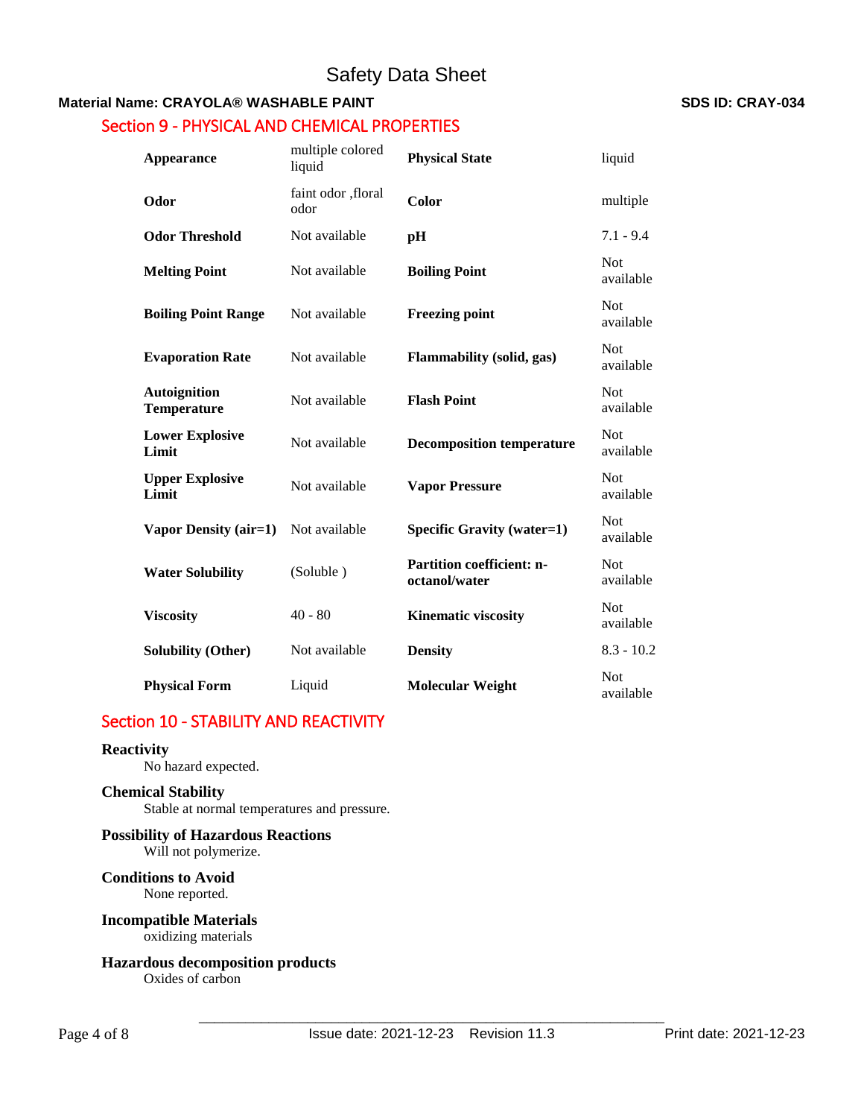### **Material Name: CRAYOLA® WASHABLE PAINT SDS ID: CRAY-034**

### Section 9 - PHYSICAL AND CHEMICAL PROPERTIES

| <b>Appearance</b>                  | multiple colored<br>liquid | <b>Physical State</b>                             | liquid                  |
|------------------------------------|----------------------------|---------------------------------------------------|-------------------------|
| Odor                               | faint odor ,floral<br>odor | Color                                             | multiple                |
| <b>Odor Threshold</b>              | Not available              | pН                                                | $7.1 - 9.4$             |
| <b>Melting Point</b>               | Not available              | <b>Boiling Point</b>                              | <b>Not</b><br>available |
| <b>Boiling Point Range</b>         | Not available              | <b>Freezing point</b>                             | <b>Not</b><br>available |
| <b>Evaporation Rate</b>            | Not available              | Flammability (solid, gas)                         | <b>Not</b><br>available |
| <b>Autoignition</b><br>Temperature | Not available              | <b>Flash Point</b>                                | <b>Not</b><br>available |
| <b>Lower Explosive</b><br>Limit    | Not available              | <b>Decomposition temperature</b>                  | <b>Not</b><br>available |
| <b>Upper Explosive</b><br>Limit    | Not available              | <b>Vapor Pressure</b>                             | Not<br>available        |
| Vapor Density (air=1)              | Not available              | Specific Gravity (water=1)                        | <b>Not</b><br>available |
| <b>Water Solubility</b>            | (Soluble)                  | <b>Partition coefficient: n-</b><br>octanol/water | <b>Not</b><br>available |
| <b>Viscosity</b>                   | $40 - 80$                  | <b>Kinematic viscosity</b>                        | Not<br>available        |
| <b>Solubility (Other)</b>          | Not available              | <b>Density</b>                                    | $8.3 - 10.2$            |
| <b>Physical Form</b>               | Liquid                     | <b>Molecular Weight</b>                           | <b>Not</b><br>available |

### Section 10 - STABILITY AND REACTIVITY

### **Reactivity**

No hazard expected.

### **Chemical Stability**

Stable at normal temperatures and pressure.

### **Possibility of Hazardous Reactions**

Will not polymerize.

#### **Conditions to Avoid** None reported.

**Incompatible Materials** oxidizing materials

#### **Hazardous decomposition products**  Oxides of carbon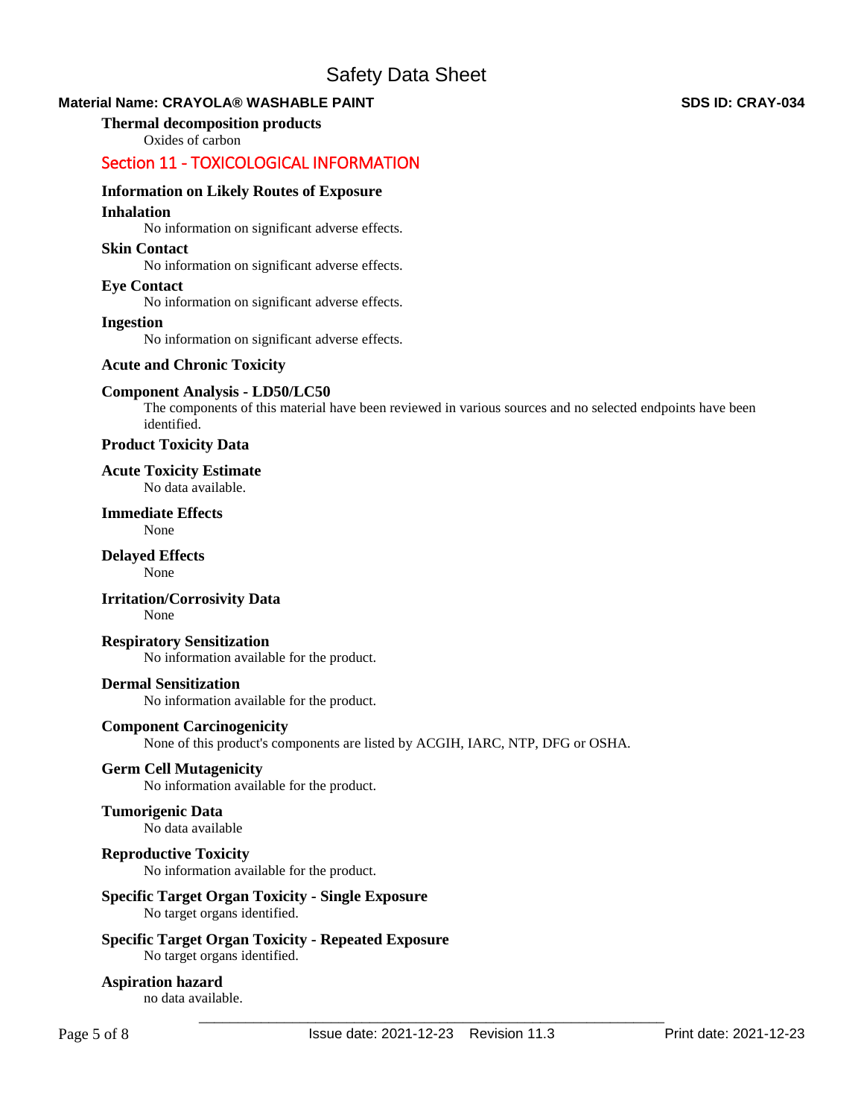### **Material Name: CRAYOLA® WASHABLE PAINT SDS ID: CRAY-034 SDS ID: CRAY-034**

### **Thermal decomposition products**

Oxides of carbon

### Section 11 - TOXICOLOGICAL INFORMATION

### **Information on Likely Routes of Exposure**

### **Inhalation**

No information on significant adverse effects.

### **Skin Contact**

No information on significant adverse effects.

### **Eye Contact**

No information on significant adverse effects.

### **Ingestion**

No information on significant adverse effects.

### **Acute and Chronic Toxicity**

### **Component Analysis - LD50/LC50**

The components of this material have been reviewed in various sources and no selected endpoints have been identified.

#### **Product Toxicity Data**

**Acute Toxicity Estimate**  No data available.

### **Immediate Effects**

None

### **Delayed Effects**

None

# **Irritation/Corrosivity Data**

None

### **Respiratory Sensitization**

No information available for the product.

### **Dermal Sensitization**

No information available for the product.

### **Component Carcinogenicity**

None of this product's components are listed by ACGIH, IARC, NTP, DFG or OSHA.

## **Germ Cell Mutagenicity**

No information available for the product.

### **Tumorigenic Data**

No data available

## **Reproductive Toxicity**

No information available for the product.

## **Specific Target Organ Toxicity - Single Exposure**

No target organs identified.

# **Specific Target Organ Toxicity - Repeated Exposure**

No target organs identified.

# **Aspiration hazard**

\_\_\_\_\_\_\_\_\_\_\_\_\_\_\_\_\_\_\_\_\_\_\_\_\_\_\_\_\_\_\_\_\_\_\_\_\_\_\_\_\_\_\_\_\_\_\_\_\_\_\_\_\_\_\_\_\_\_\_\_ no data available.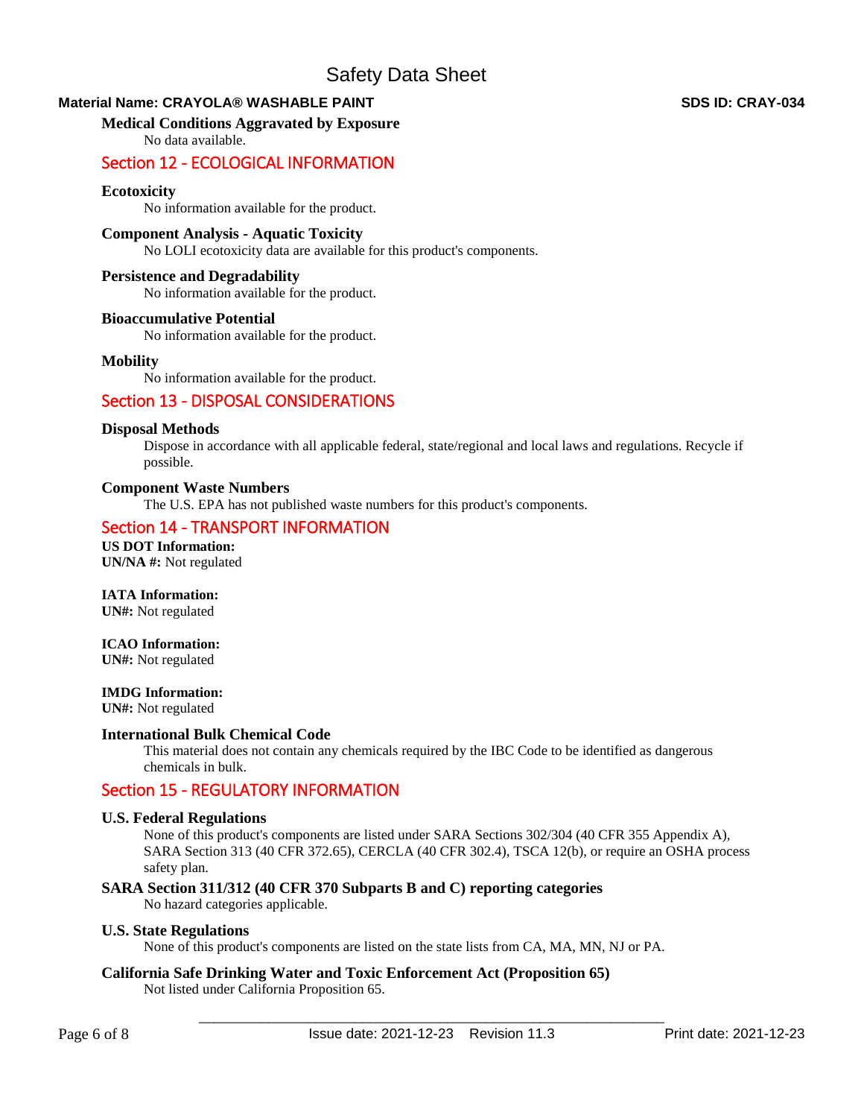### **Material Name: CRAYOLA® WASHABLE PAINT SDS ID: CRAY-034**

### **Medical Conditions Aggravated by Exposure**

No data available.

### Section 12 - ECOLOGICAL INFORMATION

### **Ecotoxicity**

No information available for the product.

### **Component Analysis - Aquatic Toxicity**

No LOLI ecotoxicity data are available for this product's components.

#### **Persistence and Degradability**

No information available for the product.

#### **Bioaccumulative Potential**

No information available for the product.

#### **Mobility**

No information available for the product.

### Section 13 - DISPOSAL CONSIDERATIONS

#### **Disposal Methods**

Dispose in accordance with all applicable federal, state/regional and local laws and regulations. Recycle if possible.

#### **Component Waste Numbers**

The U.S. EPA has not published waste numbers for this product's components.

### Section 14 - TRANSPORT INFORMATION

**US DOT Information: UN/NA #:** Not regulated

#### **IATA Information:**

**UN#:** Not regulated

### **ICAO Information:**

**UN#:** Not regulated

#### **IMDG Information:**

**UN#:** Not regulated

#### **International Bulk Chemical Code**

This material does not contain any chemicals required by the IBC Code to be identified as dangerous chemicals in bulk.

### Section 15 - REGULATORY INFORMATION

#### **U.S. Federal Regulations**

None of this product's components are listed under SARA Sections 302/304 (40 CFR 355 Appendix A), SARA Section 313 (40 CFR 372.65), CERCLA (40 CFR 302.4), TSCA 12(b), or require an OSHA process safety plan.

### **SARA Section 311/312 (40 CFR 370 Subparts B and C) reporting categories**

No hazard categories applicable.

### **U.S. State Regulations**

None of this product's components are listed on the state lists from CA, MA, MN, NJ or PA.

### **California Safe Drinking Water and Toxic Enforcement Act (Proposition 65)**

Not listed under California Proposition 65.